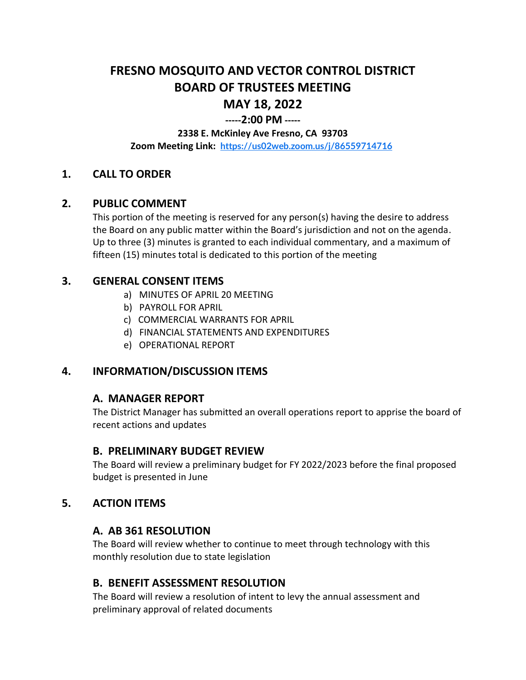## **FRESNO MOSQUITO AND VECTOR CONTROL DISTRICT BOARD OF TRUSTEES MEETING MAY 18, 2022**

# **-----2:00 PM -----**

#### **2338 E. McKinley Ave Fresno, CA 93703**

**Zoom Meeting Link: <https://us02web.zoom.us/j/86559714716>**

## **1. CALL TO ORDER**

#### **2. PUBLIC COMMENT**

This portion of the meeting is reserved for any person(s) having the desire to address the Board on any public matter within the Board's jurisdiction and not on the agenda. Up to three (3) minutes is granted to each individual commentary, and a maximum of fifteen (15) minutes total is dedicated to this portion of the meeting

#### **3. GENERAL CONSENT ITEMS**

- a) MINUTES OF APRIL 20 MEETING
- b) PAYROLL FOR APRIL
- c) COMMERCIAL WARRANTS FOR APRIL
- d) FINANCIAL STATEMENTS AND EXPENDITURES
- e) OPERATIONAL REPORT

## **4. INFORMATION/DISCUSSION ITEMS**

#### **A. MANAGER REPORT**

The District Manager has submitted an overall operations report to apprise the board of recent actions and updates

#### **B. PRELIMINARY BUDGET REVIEW**

The Board will review a preliminary budget for FY 2022/2023 before the final proposed budget is presented in June

#### **5. ACTION ITEMS**

#### **A. AB 361 RESOLUTION**

The Board will review whether to continue to meet through technology with this monthly resolution due to state legislation

#### **B. BENEFIT ASSESSMENT RESOLUTION**

The Board will review a resolution of intent to levy the annual assessment and preliminary approval of related documents